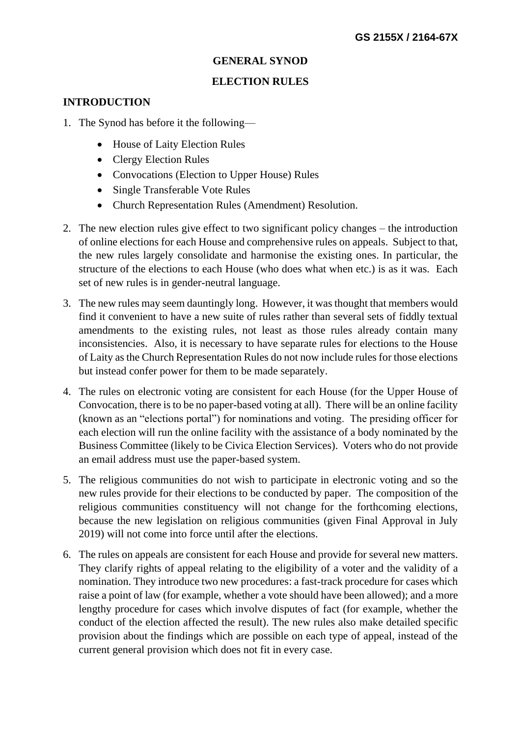### **GENERAL SYNOD**

#### **ELECTION RULES**

#### **INTRODUCTION**

- 1. The Synod has before it the following—
	- House of Laity Election Rules
	- Clergy Election Rules
	- Convocations (Election to Upper House) Rules
	- Single Transferable Vote Rules
	- Church Representation Rules (Amendment) Resolution.
- 2. The new election rules give effect to two significant policy changes the introduction of online elections for each House and comprehensive rules on appeals. Subject to that, the new rules largely consolidate and harmonise the existing ones. In particular, the structure of the elections to each House (who does what when etc.) is as it was. Each set of new rules is in gender-neutral language.
- 3. The new rules may seem dauntingly long. However, it was thought that members would find it convenient to have a new suite of rules rather than several sets of fiddly textual amendments to the existing rules, not least as those rules already contain many inconsistencies. Also, it is necessary to have separate rules for elections to the House of Laity as the Church Representation Rules do not now include rules for those elections but instead confer power for them to be made separately.
- 4. The rules on electronic voting are consistent for each House (for the Upper House of Convocation, there is to be no paper-based voting at all). There will be an online facility (known as an "elections portal") for nominations and voting. The presiding officer for each election will run the online facility with the assistance of a body nominated by the Business Committee (likely to be Civica Election Services). Voters who do not provide an email address must use the paper-based system.
- 5. The religious communities do not wish to participate in electronic voting and so the new rules provide for their elections to be conducted by paper. The composition of the religious communities constituency will not change for the forthcoming elections, because the new legislation on religious communities (given Final Approval in July 2019) will not come into force until after the elections.
- 6. The rules on appeals are consistent for each House and provide for several new matters. They clarify rights of appeal relating to the eligibility of a voter and the validity of a nomination. They introduce two new procedures: a fast-track procedure for cases which raise a point of law (for example, whether a vote should have been allowed); and a more lengthy procedure for cases which involve disputes of fact (for example, whether the conduct of the election affected the result). The new rules also make detailed specific provision about the findings which are possible on each type of appeal, instead of the current general provision which does not fit in every case.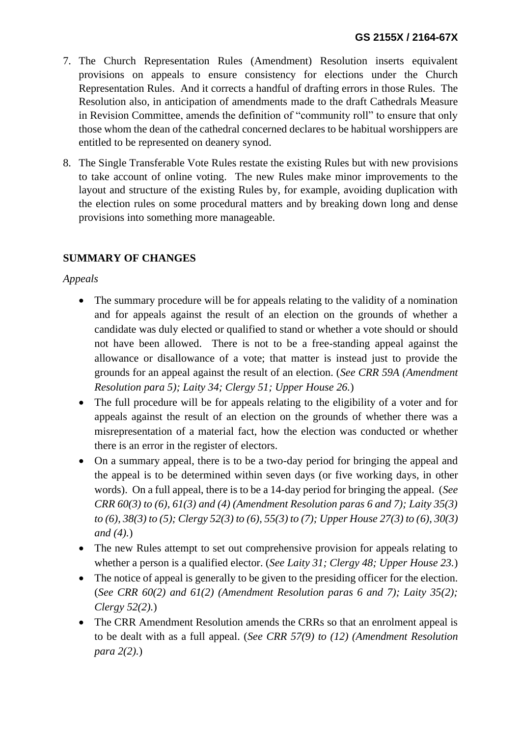- 7. The Church Representation Rules (Amendment) Resolution inserts equivalent provisions on appeals to ensure consistency for elections under the Church Representation Rules. And it corrects a handful of drafting errors in those Rules. The Resolution also, in anticipation of amendments made to the draft Cathedrals Measure in Revision Committee, amends the definition of "community roll" to ensure that only those whom the dean of the cathedral concerned declares to be habitual worshippers are entitled to be represented on deanery synod.
- 8. The Single Transferable Vote Rules restate the existing Rules but with new provisions to take account of online voting. The new Rules make minor improvements to the layout and structure of the existing Rules by, for example, avoiding duplication with the election rules on some procedural matters and by breaking down long and dense provisions into something more manageable.

# **SUMMARY OF CHANGES**

*Appeals*

- The summary procedure will be for appeals relating to the validity of a nomination and for appeals against the result of an election on the grounds of whether a candidate was duly elected or qualified to stand or whether a vote should or should not have been allowed. There is not to be a free-standing appeal against the allowance or disallowance of a vote; that matter is instead just to provide the grounds for an appeal against the result of an election. (*See CRR 59A (Amendment Resolution para 5); Laity 34; Clergy 51; Upper House 26.*)
- The full procedure will be for appeals relating to the eligibility of a voter and for appeals against the result of an election on the grounds of whether there was a misrepresentation of a material fact, how the election was conducted or whether there is an error in the register of electors.
- On a summary appeal, there is to be a two-day period for bringing the appeal and the appeal is to be determined within seven days (or five working days, in other words). On a full appeal, there is to be a 14-day period for bringing the appeal. (*See CRR 60(3) to (6), 61(3) and (4) (Amendment Resolution paras 6 and 7); Laity 35(3) to (6), 38(3) to (5); Clergy 52(3) to (6), 55(3) to (7); Upper House 27(3) to (6), 30(3) and (4).*)
- The new Rules attempt to set out comprehensive provision for appeals relating to whether a person is a qualified elector. (*See Laity 31; Clergy 48; Upper House 23.*)
- The notice of appeal is generally to be given to the presiding officer for the election. (*See CRR 60(2) and 61(2) (Amendment Resolution paras 6 and 7); Laity 35(2); Clergy 52(2).*)
- The CRR Amendment Resolution amends the CRRs so that an enrolment appeal is to be dealt with as a full appeal. (*See CRR 57(9) to (12) (Amendment Resolution para 2(2).*)